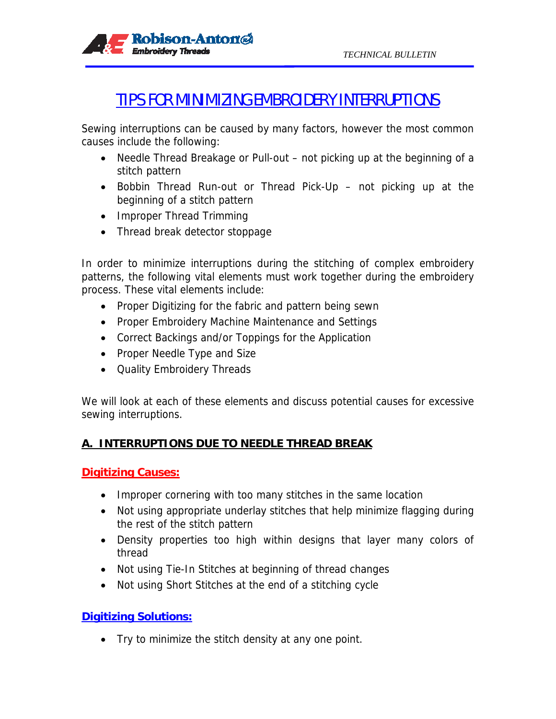

# TIPS FOR MINIMIZING EMBROIDERY INTERRUPTIONS

Sewing interruptions can be caused by many factors, however the most common causes include the following:

- Needle Thread Breakage or Pull-out not picking up at the beginning of a stitch pattern
- Bobbin Thread Run-out or Thread Pick-Up not picking up at the beginning of a stitch pattern
- Improper Thread Trimming
- Thread break detector stoppage

In order to minimize interruptions during the stitching of complex embroidery patterns, the following vital elements must work together during the embroidery process. These vital elements include:

- Proper Digitizing for the fabric and pattern being sewn
- Proper Embroidery Machine Maintenance and Settings
- Correct Backings and/or Toppings for the Application
- Proper Needle Type and Size
- Quality Embroidery Threads

We will look at each of these elements and discuss potential causes for excessive sewing interruptions.

# **A. INTERRUPTIONS DUE TO NEEDLE THREAD BREAK**

#### **Digitizing Causes:**

- Improper cornering with too many stitches in the same location
- Not using appropriate underlay stitches that help minimize flagging during the rest of the stitch pattern
- Density properties too high within designs that layer many colors of thread
- Not using Tie-In Stitches at beginning of thread changes
- Not using Short Stitches at the end of a stitching cycle

## **Digitizing Solutions:**

• Try to minimize the stitch density at any one point.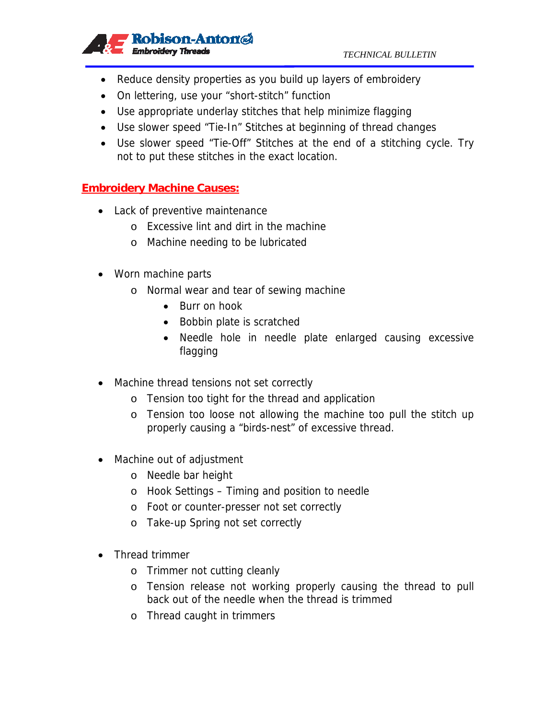

- Reduce density properties as you build up layers of embroidery
- On lettering, use your "short-stitch" function
- Use appropriate underlay stitches that help minimize flagging
- Use slower speed "Tie-In" Stitches at beginning of thread changes
- Use slower speed "Tie-Off" Stitches at the end of a stitching cycle. Try not to put these stitches in the exact location.

#### **Embroidery Machine Causes:**

- Lack of preventive maintenance
	- o Excessive lint and dirt in the machine
	- o Machine needing to be lubricated
- Worn machine parts
	- o Normal wear and tear of sewing machine
		- Burr on hook
		- Bobbin plate is scratched
		- Needle hole in needle plate enlarged causing excessive flagging
- Machine thread tensions not set correctly
	- o Tension too tight for the thread and application
	- o Tension too loose not allowing the machine too pull the stitch up properly causing a "birds-nest" of excessive thread.
- Machine out of adjustment
	- o Needle bar height
	- o Hook Settings Timing and position to needle
	- o Foot or counter-presser not set correctly
	- o Take-up Spring not set correctly
- Thread trimmer
	- o Trimmer not cutting cleanly
	- o Tension release not working properly causing the thread to pull back out of the needle when the thread is trimmed
	- o Thread caught in trimmers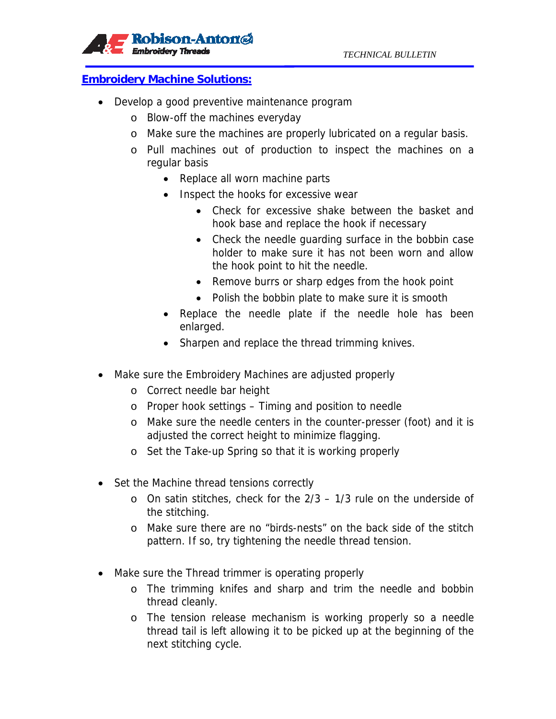#### **Embroidery Machine Solutions:**

- Develop a good preventive maintenance program
	- o Blow-off the machines everyday
	- o Make sure the machines are properly lubricated on a regular basis.
	- o Pull machines out of production to inspect the machines on a regular basis
		- Replace all worn machine parts
		- Inspect the hooks for excessive wear
			- Check for excessive shake between the basket and hook base and replace the hook if necessary
			- Check the needle guarding surface in the bobbin case holder to make sure it has not been worn and allow the hook point to hit the needle.
			- Remove burrs or sharp edges from the hook point
			- Polish the bobbin plate to make sure it is smooth
		- Replace the needle plate if the needle hole has been enlarged.
		- Sharpen and replace the thread trimming knives.
- Make sure the Embroidery Machines are adjusted properly
	- o Correct needle bar height
	- o Proper hook settings Timing and position to needle
	- o Make sure the needle centers in the counter-presser (foot) and it is adjusted the correct height to minimize flagging.
	- o Set the Take-up Spring so that it is working properly
- Set the Machine thread tensions correctly
	- o On satin stitches, check for the 2/3 1/3 rule on the underside of the stitching.
	- o Make sure there are no "birds-nests" on the back side of the stitch pattern. If so, try tightening the needle thread tension.
- Make sure the Thread trimmer is operating properly
	- o The trimming knifes and sharp and trim the needle and bobbin thread cleanly.
	- o The tension release mechanism is working properly so a needle thread tail is left allowing it to be picked up at the beginning of the next stitching cycle.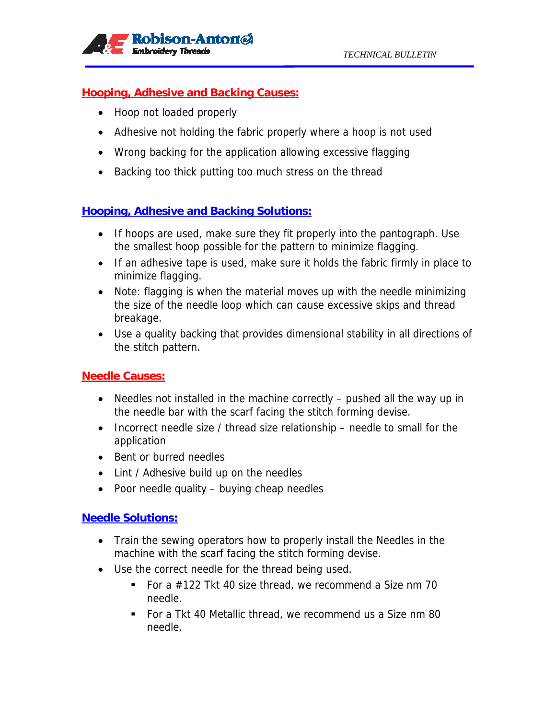

#### **Hooping, Adhesive and Backing Causes:**

- Hoop not loaded properly
- Adhesive not holding the fabric properly where a hoop is not used
- Wrong backing for the application allowing excessive flagging
- Backing too thick putting too much stress on the thread

# **Hooping, Adhesive and Backing Solutions:**

- If hoops are used, make sure they fit properly into the pantograph. Use the smallest hoop possible for the pattern to minimize flagging.
- If an adhesive tape is used, make sure it holds the fabric firmly in place to minimize flagging.
- Note: flagging is when the material moves up with the needle minimizing the size of the needle loop which can cause excessive skips and thread breakage.
- Use a quality backing that provides dimensional stability in all directions of the stitch pattern.

## **Needle Causes:**

- Needles not installed in the machine correctly pushed all the way up in the needle bar with the scarf facing the stitch forming devise.
- Incorrect needle size / thread size relationship needle to small for the application
- Bent or burred needles
- Lint / Adhesive build up on the needles
- Poor needle quality buying cheap needles

#### **Needle Solutions:**

- Train the sewing operators how to properly install the Needles in the machine with the scarf facing the stitch forming devise.
- Use the correct needle for the thread being used.
	- For a  $\#122$  Tkt 40 size thread, we recommend a Size nm 70 needle.
	- For a Tkt 40 Metallic thread, we recommend us a Size nm 80 needle.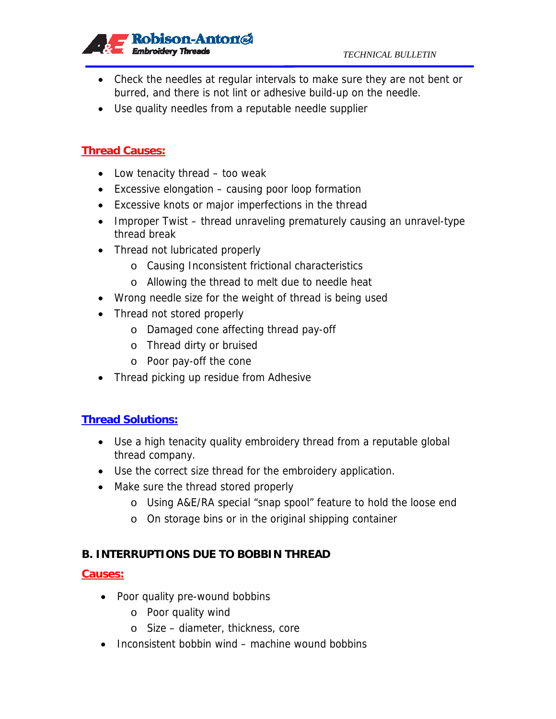

- Check the needles at regular intervals to make sure they are not bent or burred, and there is not lint or adhesive build-up on the needle.
- Use quality needles from a reputable needle supplier

# **Thread Causes:**

- Low tenacity thread too weak
- Excessive elongation causing poor loop formation
- Excessive knots or major imperfections in the thread
- Improper Twist thread unraveling prematurely causing an unravel-type thread break
- Thread not lubricated properly
	- o Causing Inconsistent frictional characteristics
	- o Allowing the thread to melt due to needle heat
- Wrong needle size for the weight of thread is being used
- Thread not stored properly
	- o Damaged cone affecting thread pay-off
	- o Thread dirty or bruised
	- o Poor pay-off the cone
- Thread picking up residue from Adhesive

#### **Thread Solutions:**

- Use a high tenacity quality embroidery thread from a reputable global thread company.
- Use the correct size thread for the embroidery application.
- Make sure the thread stored properly
	- o Using A&E/RA special "snap spool" feature to hold the loose end
	- o On storage bins or in the original shipping container

## **B. INTERRUPTIONS DUE TO BOBBIN THREAD**

#### **Causes:**

- Poor quality pre-wound bobbins
	- o Poor quality wind
	- o Size diameter, thickness, core
- Inconsistent bobbin wind machine wound bobbins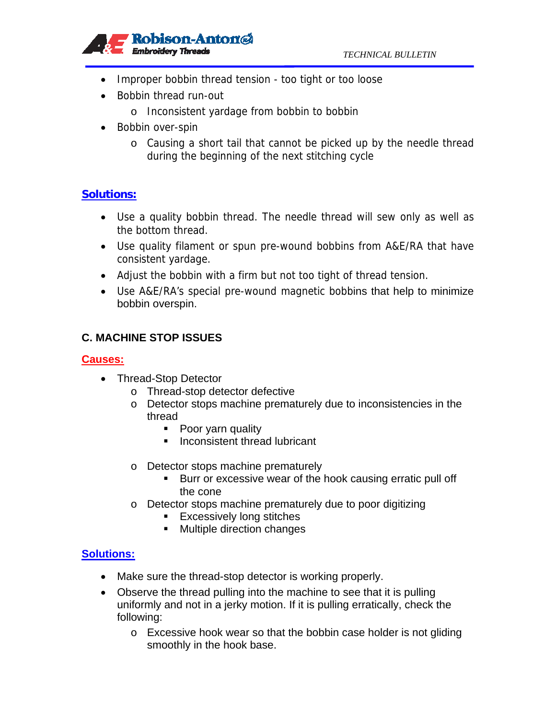

- Improper bobbin thread tension too tight or too loose
- Bobbin thread run-out
	- o Inconsistent yardage from bobbin to bobbin
- Bobbin over-spin
	- o Causing a short tail that cannot be picked up by the needle thread during the beginning of the next stitching cycle

# **Solutions:**

- Use a quality bobbin thread. The needle thread will sew only as well as the bottom thread.
- Use quality filament or spun pre-wound bobbins from A&E/RA that have consistent yardage.
- Adjust the bobbin with a firm but not too tight of thread tension.
- Use A&E/RA's special pre-wound magnetic bobbins that help to minimize bobbin overspin.

# **C. MACHINE STOP ISSUES**

## **Causes:**

- Thread-Stop Detector
	- o Thread-stop detector defective
	- o Detector stops machine prematurely due to inconsistencies in the thread
		- Poor yarn quality
		- **Inconsistent thread lubricant**
	- o Detector stops machine prematurely
		- **Burr or excessive wear of the hook causing erratic pull off** the cone
	- o Detector stops machine prematurely due to poor digitizing
		- **Excessively long stitches**
		- **Multiple direction changes**

## **Solutions:**

- Make sure the thread-stop detector is working properly.
- Observe the thread pulling into the machine to see that it is pulling uniformly and not in a jerky motion. If it is pulling erratically, check the following:
	- o Excessive hook wear so that the bobbin case holder is not gliding smoothly in the hook base.